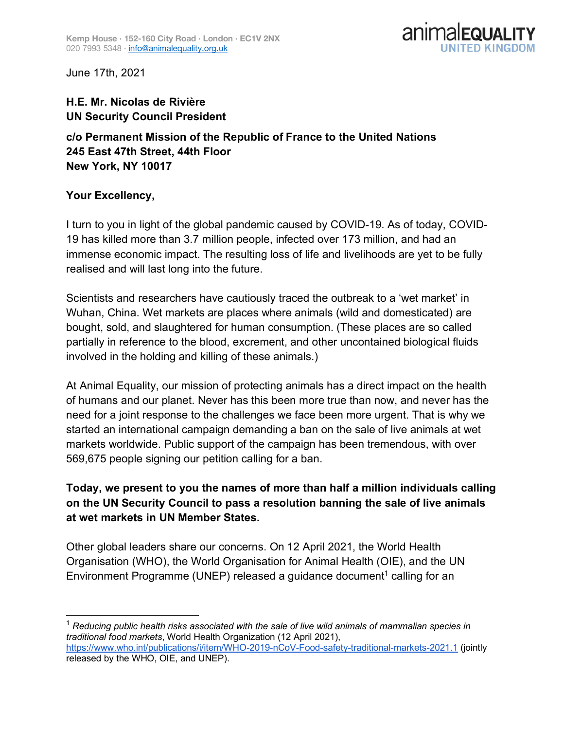

June 17th, 2021

## **H.E. Mr. Nicolas de Rivière UN Security Council President**

**c/o Permanent Mission of the Republic of France to the United Nations 245 East 47th Street, 44th Floor New York, NY 10017**

## **Your Excellency,**

I turn to you in light of the global pandemic caused by COVID-19. As of today, COVID-19 has killed more than 3.7 million people, infected over 173 million, and had an immense economic impact. The resulting loss of life and livelihoods are yet to be fully realised and will last long into the future.

Scientists and researchers have cautiously traced the outbreak to a 'wet market' in Wuhan, China. Wet markets are places where animals (wild and domesticated) are bought, sold, and slaughtered for human consumption. (These places are so called partially in reference to the blood, excrement, and other uncontained biological fluids involved in the holding and killing of these animals.)

At Animal Equality, our mission of protecting animals has a direct impact on the health of humans and our planet. Never has this been more true than now, and never has the need for a joint response to the challenges we face been more urgent. That is why we started an international campaign demanding a ban on the sale of live animals at wet markets worldwide. Public support of the campaign has been tremendous, with over 569,675 people signing our petition calling for a ban.

## **Today, we present to you the names of more than half a million individuals calling on the UN Security Council to pass a resolution banning the sale of live animals at wet markets in UN Member States.**

Other global leaders share our concerns. On 12 April 2021, the World Health Organisation (WHO), the World Organisation for Animal Health (OIE), and the UN Environment Programme (UNEP) released a guidance document<sup>1</sup> calling for an

 <sup>1</sup> *Reducing public health risks associated with the sale of live wild animals of mammalian species in traditional food markets*, World Health Organization (12 April 2021), https://www.who.int/publications/i/item/WHO-2019-nCoV-Food-safety-traditional-markets-2021.1 (jointly released by the WHO, OIE, and UNEP).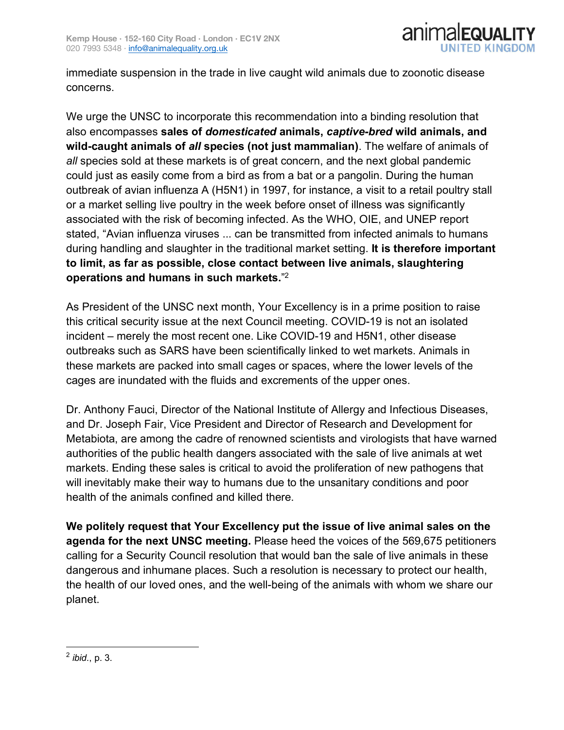

immediate suspension in the trade in live caught wild animals due to zoonotic disease concerns.

We urge the UNSC to incorporate this recommendation into a binding resolution that also encompasses **sales of** *domesticated* **animals,** *captive-bred* **wild animals, and wild-caught animals of** *all* **species (not just mammalian)**. The welfare of animals of *all* species sold at these markets is of great concern, and the next global pandemic could just as easily come from a bird as from a bat or a pangolin. During the human outbreak of avian influenza A (H5N1) in 1997, for instance, a visit to a retail poultry stall or a market selling live poultry in the week before onset of illness was significantly associated with the risk of becoming infected. As the WHO, OIE, and UNEP report stated, "Avian influenza viruses ... can be transmitted from infected animals to humans during handling and slaughter in the traditional market setting. **It is therefore important to limit, as far as possible, close contact between live animals, slaughtering operations and humans in such markets.**" 2

As President of the UNSC next month, Your Excellency is in a prime position to raise this critical security issue at the next Council meeting. COVID-19 is not an isolated incident – merely the most recent one. Like COVID-19 and H5N1, other disease outbreaks such as SARS have been scientifically linked to wet markets. Animals in these markets are packed into small cages or spaces, where the lower levels of the cages are inundated with the fluids and excrements of the upper ones.

Dr. Anthony Fauci, Director of the National Institute of Allergy and Infectious Diseases, and Dr. Joseph Fair, Vice President and Director of Research and Development for Metabiota, are among the cadre of renowned scientists and virologists that have warned authorities of the public health dangers associated with the sale of live animals at wet markets. Ending these sales is critical to avoid the proliferation of new pathogens that will inevitably make their way to humans due to the unsanitary conditions and poor health of the animals confined and killed there.

**We politely request that Your Excellency put the issue of live animal sales on the agenda for the next UNSC meeting.** Please heed the voices of the 569,675 petitioners calling for a Security Council resolution that would ban the sale of live animals in these dangerous and inhumane places. Such a resolution is necessary to protect our health, the health of our loved ones, and the well-being of the animals with whom we share our planet.